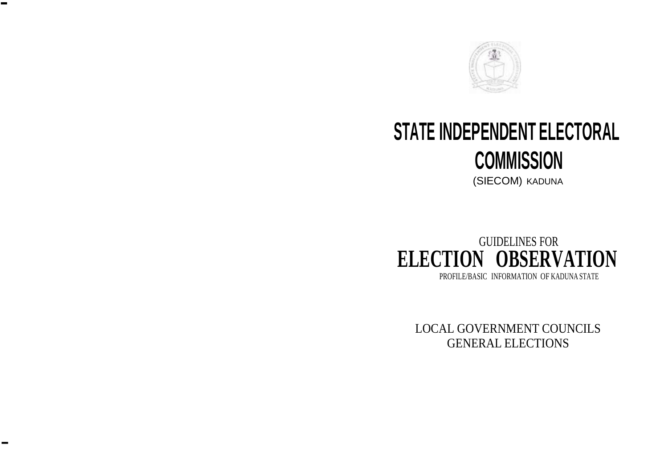

-

-

# **STATE INDEPENDENT ELECTORAL COMMISSION**

(SIECOM) KADUNA



LOCAL GOVERNMENT COUNCILS GENERAL ELECTIONS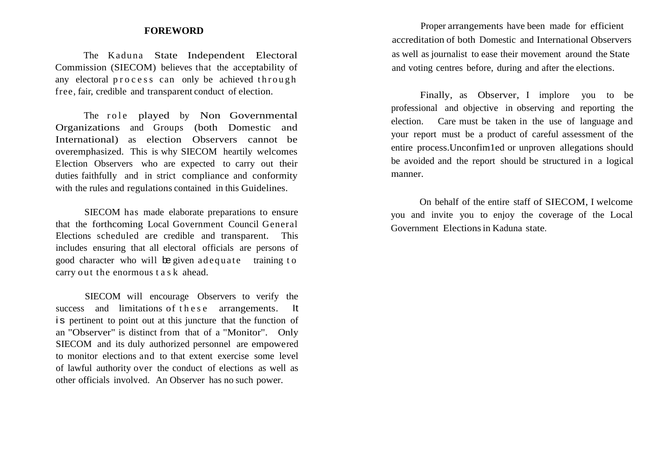The Kaduna State Independent Electoral Commission (SIECOM) believes that the acceptability of any electoral process can only be achieved through free, fair, credible and transparent conduct of election.

The role played by Non Governmental Organizations and Groups (both Domestic and International) as election Observers cannot be overemphasized. This is why SIECOM heartily welcomes Election Observers who are expected to carry out their duties faithfully and in strict compliance and conformity with the rules and regulations contained in this Guidelines.

SIECOM has made elaborate preparations to ensure that the forthcoming Local Government Council General Elections scheduled are credible and transparent. This includes ensuring that all electoral officials are persons of good character who will be given a dequate training to carry out the enormous task ahead.

SIECOM will encourage Observers to verify the success and limitations of the se arrangements. It is pertinent to point out at this juncture that the function of an "Observer" is distinct from that of a "Monitor". Only SIECOM and its duly authorized personnel are empowered to monitor elections and to that extent exercise some level of lawful authority over the conduct of elections as well as other officials involved. An Observer has no such power.

**FOREWORD** Proper arrangements have been made for efficient accreditation of both Domestic and International Observers as well as journalist to ease their movement around the State and voting centres before, during and after the elections.

> Finally, as Observer, I implore you to be professional and objective in observing and reporting the election. Care must be taken in the use of language and your report must be a product of careful assessment of the entire process.Unconfim1ed or unproven allegations should be avoided and the report should be structured in a logical manner.

> On behalf of the entire staff of SIECOM, I welcome you and invite you to enjoy the coverage of the Local Government Electionsin Kaduna state.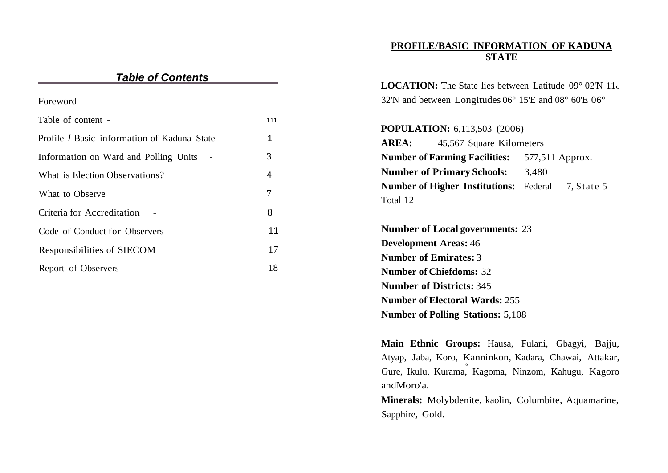## **PROFILE/BASIC INFORMATION OF KADUNA STATE**

| <b>Table of Contents</b>                           |                | <b>LOCATION:</b> The State lies between Latitude $09^{\circ}$ 02'N $11_{\circ}$  |  |  |
|----------------------------------------------------|----------------|----------------------------------------------------------------------------------|--|--|
| Foreword                                           |                | 32'N and between Longitudes $06^{\circ}$ 15'E and $08^{\circ}$ 60'E $06^{\circ}$ |  |  |
| Table of content -                                 | 111            |                                                                                  |  |  |
| Profile <i>I</i> Basic information of Kaduna State | 1              | <b>POPULATION:</b> 6,113,503 (2006)<br><b>AREA:</b><br>45,567 Square Kilometers  |  |  |
| Information on Ward and Polling Units -            | 3              | <b>Number of Farming Facilities:</b><br>577,511 Approx.                          |  |  |
| What is Election Observations?                     | $\overline{4}$ | <b>Number of Primary Schools:</b><br>3,480                                       |  |  |
| What to Observe                                    | 7              | <b>Number of Higher Institutions:</b> Federal<br>7, State 5<br>Total 12          |  |  |
| Criteria for Accreditation                         | 8              |                                                                                  |  |  |
| Code of Conduct for Observers                      | 11             | <b>Number of Local governments: 23</b>                                           |  |  |
| Responsibilities of SIECOM                         | 17             | <b>Development Areas: 46</b><br><b>Number of Emirates: 3</b>                     |  |  |
| Report of Observers -                              | 18             | <b>Number of Chiefdoms: 32</b>                                                   |  |  |
|                                                    |                | <b>Number of Districts: 345</b>                                                  |  |  |
|                                                    |                | <b>Number of Electoral Wards: 255</b>                                            |  |  |
|                                                    |                | <b>Number of Polling Stations: 5,108</b>                                         |  |  |

**Main Ethnic Groups:** Hausa, Fulani, Gbagyi, Bajju, Atyap, Jaba, Koro, Kanninkon, Kadara, Chawai, Attakar, 0 Gure, Ikulu, Kurama, Kagoma, Ninzom, Kahugu, Kagoro andMoro'a.

**Minerals:** Molybdenite, kaolin, Columbite, Aquamarine, Sapphire, Gold.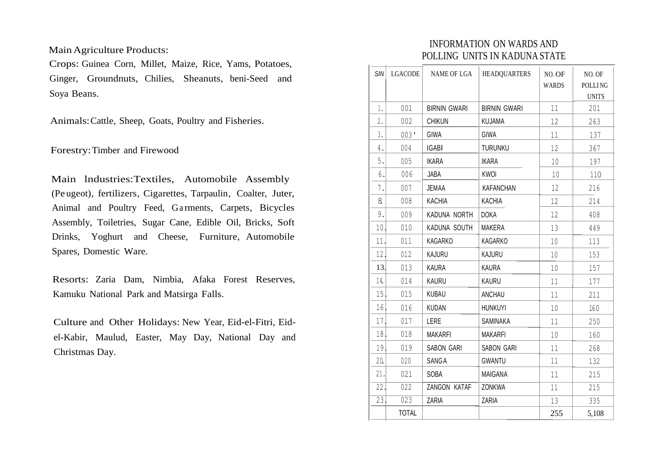MainAgriculture Products:

Crops: Guinea Corn, Millet, Maize, Rice, Yams, Potatoes, Ginger, Groundnuts, Chilies, Sheanuts, beni-Seed and Soya Beans.

Animals:Cattle, Sheep, Goats, Poultry and Fisheries.

Forestry:Timber and Firewood

Main lndustries:Textiles, Automobile Assembly (Pe ugeot), fertilizers, Cigarettes, Tarpaulin, Coalter, Juter, Animal and Poultry Feed, Garments, Carpets, Bicycles Assembly, Toiletries, Sugar Cane, Edible Oil, Bricks, Soft Drinks, Yoghurt and Cheese, Furniture, Automobile Spares, Domestic Ware.

Resorts: Zaria Dam, Nimbia, Afaka Forest Reserves, Kamuku National Park and Matsirga Falls.

Culture and Other Holidays: New Year, Eid-el-Fitri, Eidel-Kabir, Maulud, Easter, May Day, National Day and Christmas Day.

# INFORMATION ON WARDS AND POLLING UNITS IN KADUNA STATE

| <b>SIN</b>      | <b>LGACODE</b> | <b>NAME OF LGA</b>  | <b>HEADQUARTERS</b> | NO. OF<br><b>WARDS</b> | NO. OF<br>POLLING<br><b>UNITS</b> |
|-----------------|----------------|---------------------|---------------------|------------------------|-----------------------------------|
| 1.              | 001            | <b>BIRNIN GWARI</b> | <b>BIRNIN GWARI</b> | 11                     | 201                               |
| 2.              | 002            | <b>CHIKUN</b>       | <b>KUJAMA</b>       | 12                     | 263                               |
| 3.              | 003'           | <b>GIWA</b>         | <b>GIWA</b>         | 11                     | 137                               |
| 4.              | 004            | <b>IGABI</b>        | <b>TURUNKU</b>      | 12                     | 367                               |
| 5.              | 005            | <b>IKARA</b>        | <b>IKARA</b>        | 10                     | 197                               |
| 6.              | 006            | JABA                | <b>KWOI</b>         | 10                     | 110                               |
| 7.              | 007            | <b>JEMAA</b>        | <b>KAFANCHAN</b>    | 12                     | 216                               |
| 8               | 008            | <b>KACHIA</b>       | <b>KACHIA</b>       | 12                     | 214                               |
| 9.              | 009            | KADUNA NORTH        | <b>DOKA</b>         | 12                     | 408                               |
| 10 <sub>1</sub> | 010            | KADUNA SOUTH        | MAKERA              | 13                     | 449                               |
| 11.             | 011            | KAGARKO             | KAGARKO             | 10                     | 113                               |
| 12.             | 012            | KAJURU              | KAJURU              | 10                     | 153                               |
| 13.             | 013            | <b>KAURA</b>        | <b>KAURA</b>        | 10                     | 157                               |
| 14.             | 014            | KAURU               | KAURU               | 11                     | 177                               |
| 15.             | 015            | KUBAU               | ANCHAU              | 11                     | 211                               |
| 16.             | 016            | <b>KUDAN</b>        | <b>HUNKUYI</b>      | 10                     | 160                               |
| 17.             | 017            | LERE                | SAMINAKA            | 11                     | 250                               |
| 18.             | 018            | <b>MAKARFI</b>      | <b>MAKARFI</b>      | 10                     | 160                               |
| 19.             | 019            | SABON GARI          | SABON GARI          | 11                     | 268                               |
| 20.             | 020            | SANGA               | <b>GWANTU</b>       | 11                     | 132                               |
| 21.             | 021            | SOBA                | MAIGANA             | 11                     | 215                               |
| 22.             | 022            | ZANGON KATAF        | ZONKWA              | 11                     | 215                               |
| 23.             | 023            | ZARIA               | ZARIA               | 13                     | 335                               |
|                 | <b>TOTAL</b>   |                     |                     | 255                    | 5,108                             |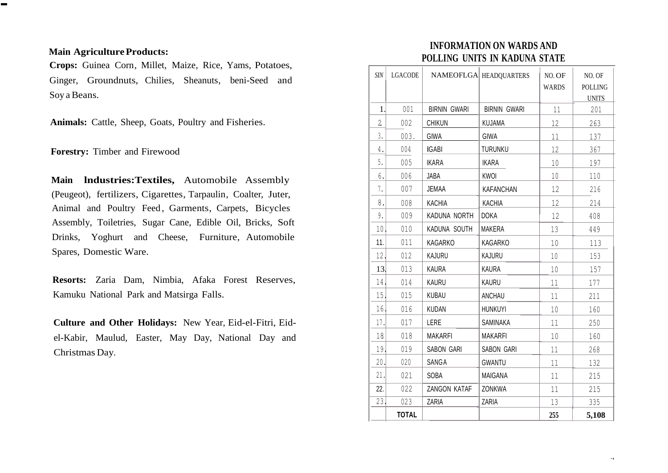#### **Main Agriculture Products:**

-

**Crops:** Guinea Corn, Millet, Maize, Rice, Yams, Potatoes, Ginger, Groundnuts, Chilies, Sheanuts, beni-Seed and Soy a Beans.

**Animals:** Cattle, Sheep, Goats, Poultry and Fisheries.

**Forestry:** Timber and Firewood

**Main lndustries:Textiles,** Automobile Assembly (Peugeot), fertilizers, Cigarettes, Tarpaulin, Coalter, Juter, Animal and Poultry Feed, Garments, Carpets, Bicycles Assembly, Toiletries, Sugar Cane, Edible Oil, Bricks, Soft Drinks, Yoghurt and Cheese, Furniture, Automobile Spares, Domestic Ware.

**Resorts:** Zaria Dam, Nimbia, Afaka Forest Reserves, Kamuku National Park and Matsirga Falls.

**Culture and Other Holidays:** New Year, Eid-el-Fitri, Eidel-Kabir, Maulud, Easter, May Day, National Day and Christmas Day.

# **INFORMATION ON WARDS AND POLLING UNITS IN KADUNA STATE**

| <b>SIN</b>     | LGACODE      |                     | NAMEOFLGA HEADQUARTERS | NO. OF<br><b>WARDS</b> | NO. OF<br>POLLING<br><b>UNITS</b> |
|----------------|--------------|---------------------|------------------------|------------------------|-----------------------------------|
| 1.             | 001          | <b>BIRNIN GWARI</b> | <b>BIRNIN GWARI</b>    | 11                     | 201                               |
| $\overline{2}$ | 002          | <b>CHIKUN</b>       | KUJAMA                 | 12                     | 263                               |
| 3.             | 003.         | <b>GIWA</b>         | <b>GIWA</b>            | 11                     | 137                               |
| 4.             | 004          | <b>IGABI</b>        | <b>TURUNKU</b>         | 12                     | 367                               |
| 5.             | 005          | <b>IKARA</b>        | <b>IKARA</b>           | 10                     | 197                               |
| 6.             | 006          | JABA                | KWOI                   | $10\,$                 | 110                               |
| 7.             | 007          | <b>JEMAA</b>        | <b>KAFANCHAN</b>       | 12                     | 216                               |
| 8.             | 008          | <b>KACHIA</b>       | <b>KACHIA</b>          | 12                     | 214                               |
| 9.             | 009          | KADUNA NORTH        | <b>DOKA</b>            | 12                     | 408                               |
| 10.            | 010          | KADUNA SOUTH        | MAKERA                 | 13                     | 449                               |
| 11.            | 011          | KAGARKO             | KAGARKO                | 10                     | 113                               |
| 12.            | 012          | KAJURU              | KAJURU                 | 10                     | 153                               |
| 13.            | 013          | <b>KAURA</b>        | <b>KAURA</b>           | 10                     | 157                               |
| 14.            | 014          | KAURU               | KAURU                  | 11                     | 177                               |
| 15             | 015          | KUBAU               | ANCHAU                 | 11                     | 211                               |
| 16.            | 016          | <b>KUDAN</b>        | <b>HUNKUYI</b>         | 10                     | 160                               |
| 17.            | 017          | LERE                | SAMINAKA               | 11                     | 250                               |
| 18             | 018          | <b>MAKARFI</b>      | <b>MAKARFI</b>         | 10                     | 160                               |
| 19.            | 019          | SABON GARI          | SABON GARI             | 11                     | 268                               |
| 20.            | 020          | SANGA               | <b>GWANTU</b>          | 11                     | 132                               |
| 21.            | 021          | SOBA                | <b>MAIGANA</b>         | 11                     | 215                               |
| 22.            | 022          | ZANGON KATAF        | <b>ZONKWA</b>          | 11                     | 215                               |
| 23.            | 023          | ZARIA               | ZARIA                  | 13                     | 335                               |
|                | <b>TOTAL</b> |                     |                        | 255                    | 5,108                             |

.,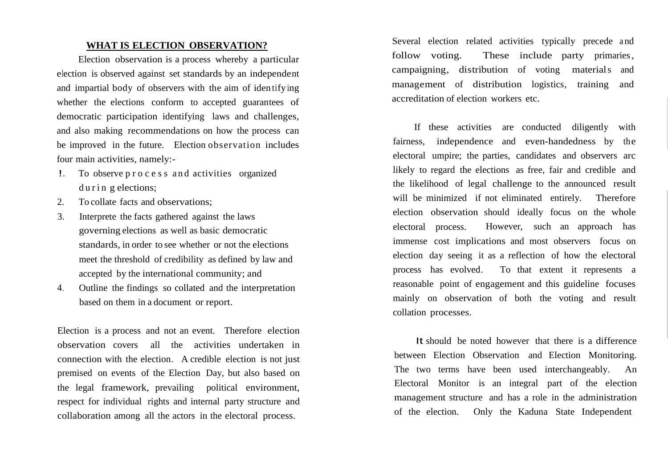### **WHAT IS ELECTION OBSERVATION?**

Election observation is a process whereby a particular election is observed against set standards by an independent and impartial body of observers with the aim of iden tify ing whether the elections conform to accepted guarantees of democratic participation identifying laws and challenges, and also making recommendations on how the process can be improved in the future. Election observation includes four main activities, namely:-

- !. To observe p r o c e s s a n d activities organized during elections;
- 2. To collate facts and observations;
- 3. Interprete the facts gathered against the laws governing elections as well as basic democratic standards, in order to see whether or not the elections meet the threshold of credibility as defined by law and accepted by the international community; and
- 4. Outline the findings so collated and the interpretation based on them in a document or report.

Election is a process and not an event. Therefore election observation covers all the activities undertaken in connection with the election. A credible election is not just premised on events of the Election Day, but also based on the legal framework, prevailing political environment, respect for individual rights and internal party structure and collaboration among all the actors in the electoral process.

Several election related activities typically precede and follow voting. These include party primaries, campaigning, distribution of voting materials and management of distribution logistics, training and accreditation of election workers etc.

If these activities are conducted diligently with fairness, independence and even-handedness by the electoral umpire; the parties, candidates and observers arc likely to regard the elections as free, fair and credible and the likelihood of legal challenge to the announced result will be minimized if not eliminated entirely. Therefore election observation should ideally focus on the whole electoral process. However, such an approach has immense cost implications and most observers focus on election day seeing it as a reflection of how the electoral process has evolved. To that extent it represents a reasonable point of engagement and this guideline focuses mainly on observation of both the voting and result collation processes.

It should be noted however that there is a difference between Election Observation and Election Monitoring. The two terms have been used interchangeably. An Electoral Monitor is an integral part of the election management structure and has a role in the administration of the election. Only the Kaduna State Independent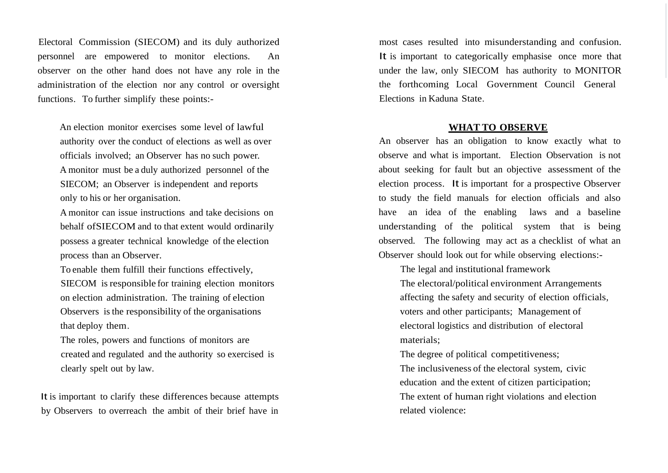Electoral Commission (SIECOM) and its duly authorized personnel are empowered to monitor elections. An observer on the other hand does not have any role in the administration of the election nor any control or oversight functions. To further simplify these points:-

An election monitor exercises some level of lawful authority over the conduct of elections as well as over officials involved; an Observer has no such power. A monitor must be a duly authorized personnel of the SIECOM; an Observer is independent and reports only to his or her organisation.

A monitor can issue instructions and take decisions on behalf ofSIECOM and to that extent would ordinarily possess a greater technical knowledge of the election process than an Observer.

To enable them fulfill their functions effectively,

SIECOM is responsible for training election monitors on election administration. The training of election Observers is the responsibility of the organisations that deploy them.

The roles, powers and functions of monitors are created and regulated and the authority so exercised is clearly spelt out by law.

It is important to clarify these differences because attempts by Observers to overreach the ambit of their brief have in most cases resulted into misunderstanding and confusion. It is important to categorically emphasise once more that under the law, only SIECOM has authority to MONITOR the forthcoming Local Government Council General Elections in Kaduna State.

#### **WHAT TO OBSERVE**

An observer has an obligation to know exactly what to observe and what is important. Election Observation is not about seeking for fault but an objective assessment of the election process. It is important for a prospective Observer to study the field manuals for election officials and also have an idea of the enabling laws and a baseline understanding of the political system that is being observed. The following may act as a checklist of what an Observer should look out for while observing elections:-

The legal and institutional framework

The electoral/political environment Arrangements affecting the safety and security of election officials, voters and other participants; Management of electoral logistics and distribution of electoral materials;

The degree of political competitiveness; The inclusiveness of the electoral system, civic education and the extent of citizen participation; The extent of human right violations and election related violence: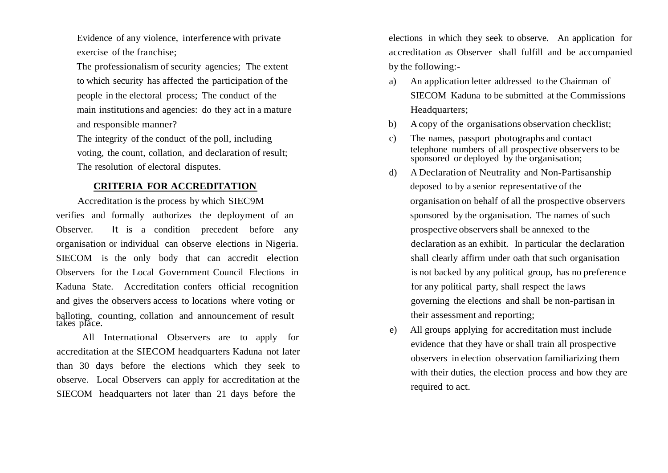Evidence of any violence, interference with private exercise of the franchise;

The professionalism of security agencies; The extent to which security has affected the participation of the people in the electoral process; The conduct of the main institutions and agencies: do they act in a mature and responsible manner?

The integrity of the conduct of the poll, including voting, the count, collation, and declaration of result; The resolution of electoral disputes.

verifies and formally authorizes the deployment of an sponsored by the organisation. The names of such Observer. It is a condition precedent before any organisation or individual can observe elections in Nigeria. SIECOM is the only body that can accredit election Observers for the Local Government Council Elections in Kaduna State. Accreditation confers official recognition and gives the observers access to locations where voting or balloting, counting, collation and announcement of result takes place.

All International Observers are to apply for accreditation at the SIECOM headquarters Kaduna not later than 30 days before the elections which they seek to observe. Local Observers can apply for accreditation at the SIECOM headquarters not later than 21 days before the

elections in which they seek to observe. An application for accreditation as Observer shall fulfill and be accompanied by the following:-

- a) An application letter addressed to the Chairman of SIECOM Kaduna to be submitted at the Commissions Headquarters;
- b) A copy of the organisations observation checklist;
- c) The names, passport photographs and contact telephone numbers of all prospective observers to be sponsored or deployed by the organisation;
- d) A Declaration of Neutrality and Non-Partisanship **CRITERIA FOR ACCREDITATION** deposed to by a senior representative of the Accreditation is the process by which SIEC9M organisation on behalf of all the prospective observers prospective observers shall be annexed to the declaration as an exhibit. In particular the declaration shall clearly affirm under oath that such organisation is not backed by any political group, has no preference for any political party, shall respect the laws governing the elections and shall be non-partisan in their assessment and reporting;
	- e) All groups applying for accreditation must include evidence that they have or shall train all prospective observers in election observation familiarizing them with their duties, the election process and how they are required to act.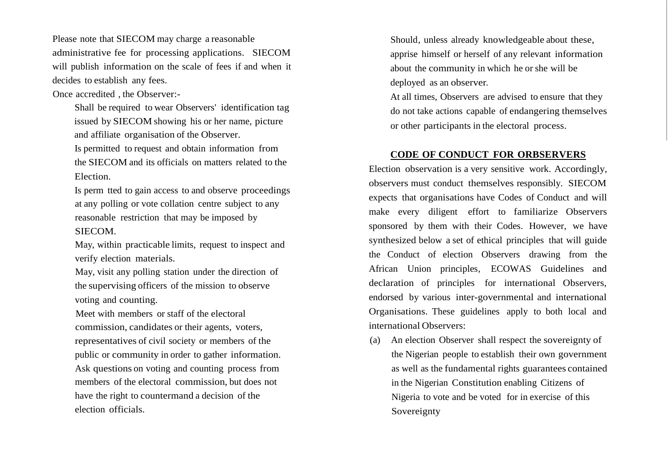Please note that SIECOM may charge a reasonable administrative fee for processing applications. SIECOM will publish information on the scale of fees if and when it decides to establish any fees.

Once accredited , the Observer:-

Shall be required to wear Observers' identification tag issued by SIECOM showing his or her name, picture and affiliate organisation of the Observer.

Is permitted to request and obtain information from the SIECOM and its officials on matters related to the Election.

Is perm tted to gain access to and observe proceedings at any polling or vote collation centre subject to any reasonable restriction that may be imposed by SIECOM.

May, within practicable limits, request to inspect and verify election materials.

May, visit any polling station under the direction of the supervising officers of the mission to observe voting and counting.

Meet with members or staff of the electoral commission, candidates or their agents, voters, representatives of civil society or members of the public or community in order to gather information. Ask questions on voting and counting process from members of the electoral commission, but does not have the right to countermand a decision of the election officials.

Should, unless already knowledgeable about these, apprise himself or herself of any relevant information about the community in which he or she will be deployed as an observer.

At all times, Observers are advised to ensure that they do not take actions capable of endangering themselves or other participants in the electoral process.

#### **CODE OF CONDUCT FOR ORBSERVERS**

Election observation is a very sensitive work. Accordingly, observers must conduct themselves responsibly. SIECOM expects that organisations have Codes of Conduct and will make every diligent effort to familiarize Observers sponsored by them with their Codes. However, we have synthesized below a set of ethical principles that will guide the Conduct of election Observers drawing from the African Union principles, ECOWAS Guidelines and declaration of principles for international Observers, endorsed by various inter-governmental and international Organisations. These guidelines apply to both local and international Observers:

(a) An election Observer shall respect the sovereignty of the Nigerian people to establish their own government as well as the fundamental rights guarantees contained in the Nigerian Constitution enabling Citizens of Nigeria to vote and be voted for in exercise of this Sovereignty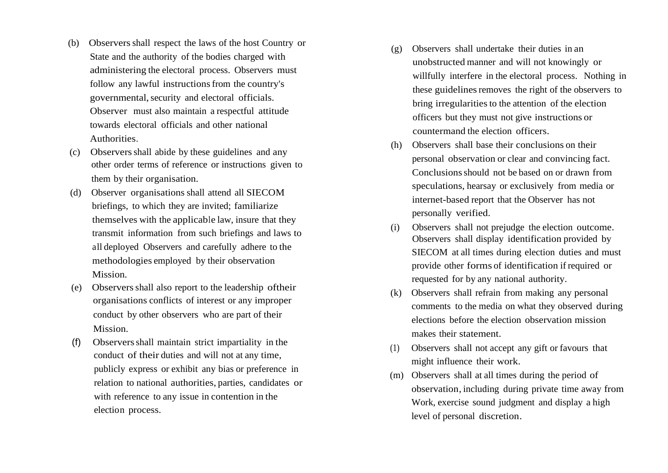- (b) Observersshall respect the laws of the host Country or State and the authority of the bodies charged with administering the electoral process. Observers must follow any lawful instructions from the country's governmental, security and electoral officials. Observer must also maintain a respectful attitude towards electoral officials and other national Authorities.
- (c) Observersshall abide by these guidelines and any other order terms of reference or instructions given to them by their organisation.
- (d) Observer organisations shall attend all SIECOM briefings, to which they are invited; familiarize themselves with the applicable law, insure that they transmit information from such briefings and laws to all deployed Observers and carefully adhere to the methodologies employed by their observation Mission.
- (e) Observersshall also report to the leadership oftheir organisations conflicts of interest or any improper conduct by other observers who are part of their Mission.
- (f) Observersshall maintain strict impartiality in the conduct of their duties and will not at any time, publicly express or exhibit any bias or preference in relation to national authorities, parties, candidates or with reference to any issue in contention in the election process.
- (g) Observers shall undertake their duties in an unobstructed manner and will not knowingly or willfully interfere in the electoral process. Nothing in these guidelines removes the right of the observers to bring irregularities to the attention of the election officers but they must not give instructions or countermand the election officers.
- (h) Observers shall base their conclusions on their personal observation or clear and convincing fact. Conclusions should not be based on or drawn from speculations, hearsay or exclusively from media or internet-based report that the Observer has not personally verified.
- (i) Observers shall not prejudge the election outcome. Observers shall display identification provided by SIECOM at all times during election duties and must provide other forms of identification if required or requested for by any national authority.
- (k) Observers shall refrain from making any personal comments to the media on what they observed during elections before the election observation mission makes their statement.
- (1) Observers shall not accept any gift or favours that might influence their work.
- (m) Observers shall at all times during the period of observation, including during private time away from Work, exercise sound judgment and display a high level of personal discretion.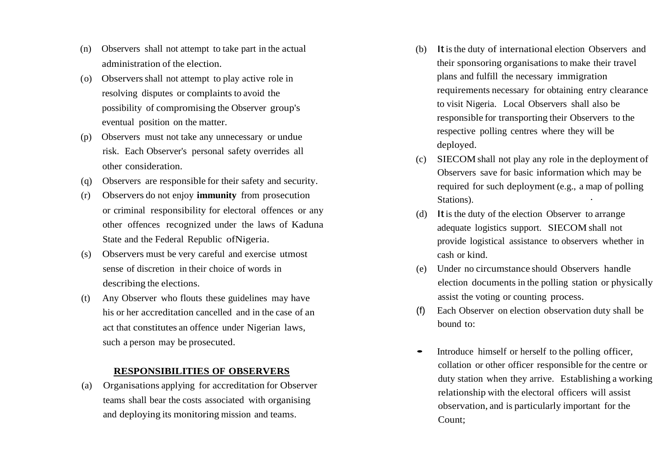- (n) Observers shall not attempt to take part in the actual administration of the election.
- (o) Observersshall not attempt to play active role in resolving disputes or complaints to avoid the possibility of compromising the Observer group's eventual position on the matter.
- (p) Observers must not take any unnecessary or undue risk. Each Observer's personal safety overrides all other consideration.
- (q) Observers are responsible for their safety and security.
- (r) Observers do not enjoy **immunity** from prosecution or criminal responsibility for electoral offences or any other offences recognized under the laws of Kaduna State and the Federal Republic ofNigeria.
- (s) Observers must be very careful and exercise utmost sense of discretion in their choice of words in describing the elections.
- (t) Any Observer who flouts these guidelines may have his or her accreditation cancelled and in the case of an act that constitutes an offence under Nigerian laws, such a person may be prosecuted.

#### **RESPONSIBILITIES OF OBSERVERS**

(a) Organisations applying for accreditation for Observer teams shall bear the costs associated with organising and deploying its monitoring mission and teams.

- (b) Itisthe duty of international election Observers and their sponsoring organisations to make their travel plans and fulfill the necessary immigration requirements necessary for obtaining entry clearance to visit Nigeria. Local Observers shall also be responsible for transporting their Observers to the respective polling centres where they will be deployed.
- (c) SIECOM shall not play any role in the deployment of Observers save for basic information which may be required for such deployment (e.g., a map of polling Stations).
- (d) Itis the duty of the election Observer to arrange adequate logistics support. SIECOM shall not provide logistical assistance to observers whether in cash or kind.
- (e) Under no circumstance should Observers handle election documents in the polling station or physically assist the voting or counting process.
- (f) Each Observer on election observation duty shall be bound to:
- Introduce himself or herself to the polling officer, collation or other officer responsible for the centre or duty station when they arrive. Establishing a working relationship with the electoral officers will assist observation, and is particularly important for the Count;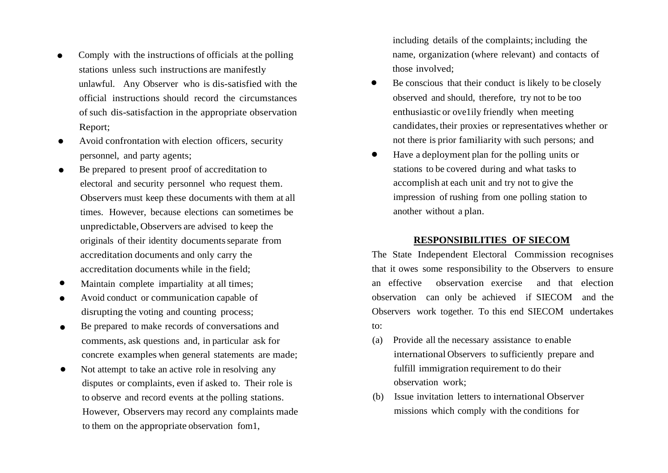- Comply with the instructions of officials at the polling stations unless such instructions are manifestly unlawful. Any Observer who is dis-satisfied with the official instructions should record the circumstances of such dis-satisfaction in the appropriate observation Report;
- Avoid confrontation with election officers, security personnel, and party agents;
- Be prepared to present proof of accreditation to electoral and security personnel who request them. Observers must keep these documents with them at all times. However, because elections can sometimes be unpredictable,Observers are advised to keep the originals of their identity documentsseparate from accreditation documents and only carry the accreditation documents while in the field;
- Maintain complete impartiality at all times;
- Avoid conduct or communication capable of disrupting the voting and counting process;
- Be prepared to make records of conversations and comments, ask questions and, in particular ask for concrete examples when general statements are made;
- Not attempt to take an active role in resolving any disputes or complaints, even if asked to. Their role is to observe and record events at the polling stations. However, Observers may record any complaints made to them on the appropriate observation fom1,

including details of the complaints; including the name, organization (where relevant) and contacts of those involved;

- Be conscious that their conduct is likely to be closely observed and should, therefore, try not to be too enthusiastic or ove1ily friendly when meeting candidates, their proxies or representatives whether or not there is prior familiarity with such persons; and
- Have <sup>a</sup> deployment plan for the polling units or stations to be covered during and what tasks to accomplish at each unit and try not to give the impression of rushing from one polling station to another without a plan.

### **RESPONSIBILITIES OF SIECOM**

The State Independent Electoral Commission recognises that it owes some responsibility to the Observers to ensure an effective observation exercise and that election observation can only be achieved if SIECOM and the Observers work together. To this end SIECOM undertakes to:

- (a) Provide all the necessary assistance to enable international Observers to sufficiently prepare and fulfill immigration requirement to do their observation work;
- (b) Issue invitation letters to international Observer missions which comply with the conditions for